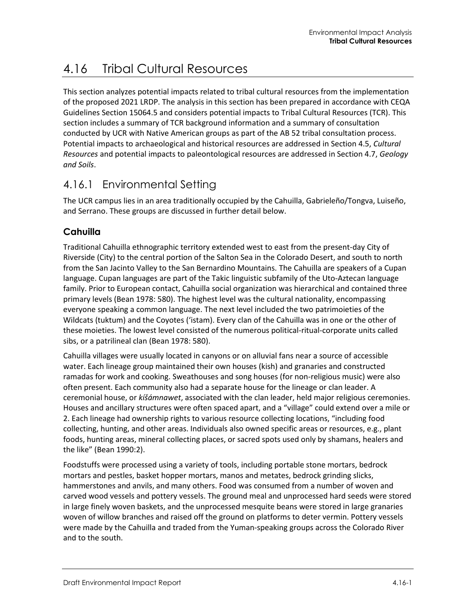# 4.16 Tribal Cultural Resources

This section analyzes potential impacts related to tribal cultural resources from the implementation of the proposed 2021 LRDP. The analysis in this section has been prepared in accordance with CEQA Guidelines Section 15064.5 and considers potential impacts to Tribal Cultural Resources (TCR). This section includes a summary of TCR background information and a summary of consultation conducted by UCR with Native American groups as part of the AB 52 tribal consultation process. Potential impacts to archaeological and historical resources are addressed in Section 4.5, *Cultural Resources* and potential impacts to paleontological resources are addressed in Section 4.7, *Geology and Soils*.

# 4.16.1 Environmental Setting

The UCR campus lies in an area traditionally occupied by the Cahuilla, Gabrieleño/Tongva, Luiseño, and Serrano. These groups are discussed in further detail below.

# **Cahuilla**

Traditional Cahuilla ethnographic territory extended west to east from the present-day City of Riverside (City) to the central portion of the Salton Sea in the Colorado Desert, and south to north from the San Jacinto Valley to the San Bernardino Mountains. The Cahuilla are speakers of a Cupan language. Cupan languages are part of the Takic linguistic subfamily of the Uto-Aztecan language family. Prior to European contact, Cahuilla social organization was hierarchical and contained three primary levels (Bean 1978: 580). The highest level was the cultural nationality, encompassing everyone speaking a common language. The next level included the two patrimoieties of the Wildcats (tuktum) and the Coyotes ('istam). Every clan of the Cahuilla was in one or the other of these moieties. The lowest level consisted of the numerous political-ritual-corporate units called sibs, or a patrilineal clan (Bean 1978: 580).

Cahuilla villages were usually located in canyons or on alluvial fans near a source of accessible water. Each lineage group maintained their own houses (kish) and granaries and constructed ramadas for work and cooking. Sweathouses and song houses (for non-religious music) were also often present. Each community also had a separate house for the lineage or clan leader. A ceremonial house, or *kíšámnawet*, associated with the clan leader, held major religious ceremonies. Houses and ancillary structures were often spaced apart, and a "village" could extend over a mile or 2. Each lineage had ownership rights to various resource collecting locations, "including food collecting, hunting, and other areas. Individuals also owned specific areas or resources, e.g., plant foods, hunting areas, mineral collecting places, or sacred spots used only by shamans, healers and the like" (Bean 1990:2).

Foodstuffs were processed using a variety of tools, including portable stone mortars, bedrock mortars and pestles, basket hopper mortars, manos and metates, bedrock grinding slicks, hammerstones and anvils, and many others. Food was consumed from a number of woven and carved wood vessels and pottery vessels. The ground meal and unprocessed hard seeds were stored in large finely woven baskets, and the unprocessed mesquite beans were stored in large granaries woven of willow branches and raised off the ground on platforms to deter vermin. Pottery vessels were made by the Cahuilla and traded from the Yuman-speaking groups across the Colorado River and to the south.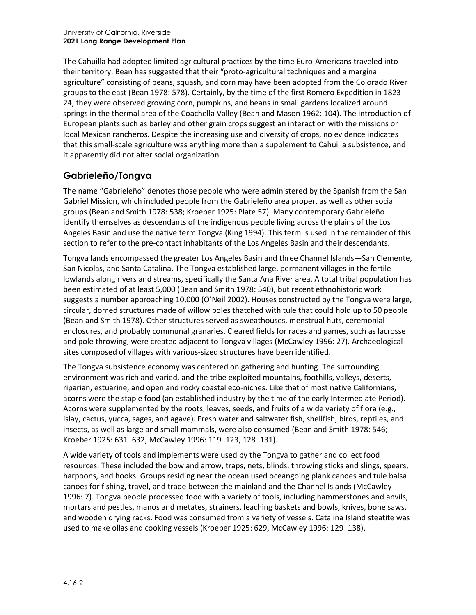The Cahuilla had adopted limited agricultural practices by the time Euro-Americans traveled into their territory. Bean has suggested that their "proto-agricultural techniques and a marginal agriculture" consisting of beans, squash, and corn may have been adopted from the Colorado River groups to the east (Bean 1978: 578). Certainly, by the time of the first Romero Expedition in 1823- 24, they were observed growing corn, pumpkins, and beans in small gardens localized around springs in the thermal area of the Coachella Valley (Bean and Mason 1962: 104). The introduction of European plants such as barley and other grain crops suggest an interaction with the missions or local Mexican rancheros. Despite the increasing use and diversity of crops, no evidence indicates that this small-scale agriculture was anything more than a supplement to Cahuilla subsistence, and it apparently did not alter social organization.

# **Gabrieleño/Tongva**

The name "Gabrieleño" denotes those people who were administered by the Spanish from the San Gabriel Mission, which included people from the Gabrieleño area proper, as well as other social groups (Bean and Smith 1978: 538; Kroeber 1925: Plate 57). Many contemporary Gabrieleño identify themselves as descendants of the indigenous people living across the plains of the Los Angeles Basin and use the native term Tongva (King 1994). This term is used in the remainder of this section to refer to the pre-contact inhabitants of the Los Angeles Basin and their descendants.

Tongva lands encompassed the greater Los Angeles Basin and three Channel Islands—San Clemente, San Nicolas, and Santa Catalina. The Tongva established large, permanent villages in the fertile lowlands along rivers and streams, specifically the Santa Ana River area. A total tribal population has been estimated of at least 5,000 (Bean and Smith 1978: 540), but recent ethnohistoric work suggests a number approaching 10,000 (O'Neil 2002). Houses constructed by the Tongva were large, circular, domed structures made of willow poles thatched with tule that could hold up to 50 people (Bean and Smith 1978). Other structures served as sweathouses, menstrual huts, ceremonial enclosures, and probably communal granaries. Cleared fields for races and games, such as lacrosse and pole throwing, were created adjacent to Tongva villages (McCawley 1996: 27). Archaeological sites composed of villages with various-sized structures have been identified.

The Tongva subsistence economy was centered on gathering and hunting. The surrounding environment was rich and varied, and the tribe exploited mountains, foothills, valleys, deserts, riparian, estuarine, and open and rocky coastal eco-niches. Like that of most native Californians, acorns were the staple food (an established industry by the time of the early Intermediate Period). Acorns were supplemented by the roots, leaves, seeds, and fruits of a wide variety of flora (e.g., islay, cactus, yucca, sages, and agave). Fresh water and saltwater fish, shellfish, birds, reptiles, and insects, as well as large and small mammals, were also consumed (Bean and Smith 1978: 546; Kroeber 1925: 631–632; McCawley 1996: 119–123, 128–131).

A wide variety of tools and implements were used by the Tongva to gather and collect food resources. These included the bow and arrow, traps, nets, blinds, throwing sticks and slings, spears, harpoons, and hooks. Groups residing near the ocean used oceangoing plank canoes and tule balsa canoes for fishing, travel, and trade between the mainland and the Channel Islands (McCawley 1996: 7). Tongva people processed food with a variety of tools, including hammerstones and anvils, mortars and pestles, manos and metates, strainers, leaching baskets and bowls, knives, bone saws, and wooden drying racks. Food was consumed from a variety of vessels. Catalina Island steatite was used to make ollas and cooking vessels (Kroeber 1925: 629, McCawley 1996: 129–138).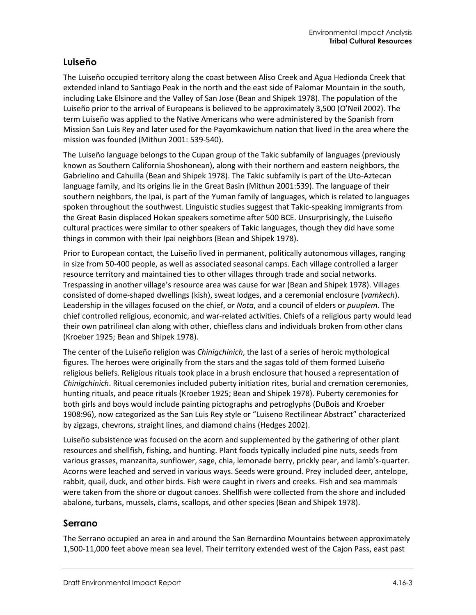### **Luiseño**

The Luiseño occupied territory along the coast between Aliso Creek and Agua Hedionda Creek that extended inland to Santiago Peak in the north and the east side of Palomar Mountain in the south, including Lake Elsinore and the Valley of San Jose (Bean and Shipek 1978). The population of the Luiseño prior to the arrival of Europeans is believed to be approximately 3,500 (O'Neil 2002). The term Luiseño was applied to the Native Americans who were administered by the Spanish from Mission San Luis Rey and later used for the Payomkawichum nation that lived in the area where the mission was founded (Mithun 2001: 539-540).

The Luiseño language belongs to the Cupan group of the Takic subfamily of languages (previously known as Southern California Shoshonean), along with their northern and eastern neighbors, the Gabrielino and Cahuilla (Bean and Shipek 1978). The Takic subfamily is part of the Uto-Aztecan language family, and its origins lie in the Great Basin (Mithun 2001:539). The language of their southern neighbors, the Ipai, is part of the Yuman family of languages, which is related to languages spoken throughout the southwest. Linguistic studies suggest that Takic-speaking immigrants from the Great Basin displaced Hokan speakers sometime after 500 BCE. Unsurprisingly, the Luiseño cultural practices were similar to other speakers of Takic languages, though they did have some things in common with their Ipai neighbors (Bean and Shipek 1978).

Prior to European contact, the Luiseño lived in permanent, politically autonomous villages, ranging in size from 50-400 people, as well as associated seasonal camps. Each village controlled a larger resource territory and maintained ties to other villages through trade and social networks. Trespassing in another village's resource area was cause for war (Bean and Shipek 1978). Villages consisted of dome-shaped dwellings (kish), sweat lodges, and a ceremonial enclosure (*vamkech*). Leadership in the villages focused on the chief, or *Nota*, and a council of elders or *puuplem*. The chief controlled religious, economic, and war-related activities. Chiefs of a religious party would lead their own patrilineal clan along with other, chiefless clans and individuals broken from other clans (Kroeber 1925; Bean and Shipek 1978).

The center of the Luiseño religion was *Chinigchinich*, the last of a series of heroic mythological figures. The heroes were originally from the stars and the sagas told of them formed Luiseño religious beliefs. Religious rituals took place in a brush enclosure that housed a representation of *Chinigchinich*. Ritual ceremonies included puberty initiation rites, burial and cremation ceremonies, hunting rituals, and peace rituals (Kroeber 1925; Bean and Shipek 1978). Puberty ceremonies for both girls and boys would include painting pictographs and petroglyphs (DuBois and Kroeber 1908:96), now categorized as the San Luis Rey style or "Luiseno Rectilinear Abstract" characterized by zigzags, chevrons, straight lines, and diamond chains (Hedges 2002).

Luiseño subsistence was focused on the acorn and supplemented by the gathering of other plant resources and shellfish, fishing, and hunting. Plant foods typically included pine nuts, seeds from various grasses, manzanita, sunflower, sage, chia, lemonade berry, prickly pear, and lamb's-quarter. Acorns were leached and served in various ways. Seeds were ground. Prey included deer, antelope, rabbit, quail, duck, and other birds. Fish were caught in rivers and creeks. Fish and sea mammals were taken from the shore or dugout canoes. Shellfish were collected from the shore and included abalone, turbans, mussels, clams, scallops, and other species (Bean and Shipek 1978).

#### **Serrano**

The Serrano occupied an area in and around the San Bernardino Mountains between approximately 1,500-11,000 feet above mean sea level. Their territory extended west of the Cajon Pass, east past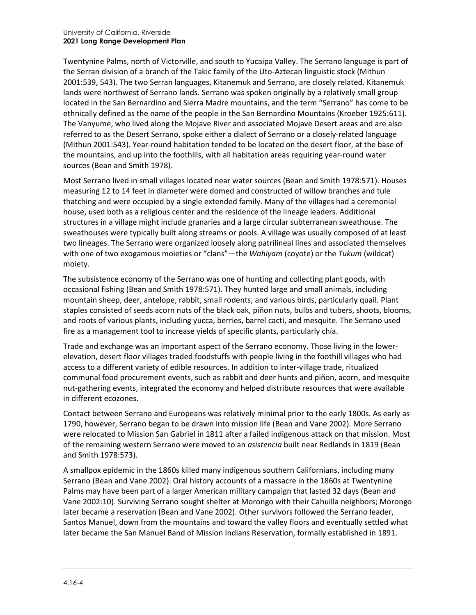Twentynine Palms, north of Victorville, and south to Yucaipa Valley. The Serrano language is part of the Serran division of a branch of the Takic family of the Uto-Aztecan linguistic stock (Mithun 2001:539, 543). The two Serran languages, Kitanemuk and Serrano, are closely related. Kitanemuk lands were northwest of Serrano lands. Serrano was spoken originally by a relatively small group located in the San Bernardino and Sierra Madre mountains, and the term "Serrano" has come to be ethnically defined as the name of the people in the San Bernardino Mountains (Kroeber 1925:611). The Vanyume, who lived along the Mojave River and associated Mojave Desert areas and are also referred to as the Desert Serrano, spoke either a dialect of Serrano or a closely-related language (Mithun 2001:543). Year-round habitation tended to be located on the desert floor, at the base of the mountains, and up into the foothills, with all habitation areas requiring year-round water sources (Bean and Smith 1978).

Most Serrano lived in small villages located near water sources (Bean and Smith 1978:571). Houses measuring 12 to 14 feet in diameter were domed and constructed of willow branches and tule thatching and were occupied by a single extended family. Many of the villages had a ceremonial house, used both as a religious center and the residence of the lineage leaders. Additional structures in a village might include granaries and a large circular subterranean sweathouse. The sweathouses were typically built along streams or pools. A village was usually composed of at least two lineages. The Serrano were organized loosely along patrilineal lines and associated themselves with one of two exogamous moieties or "clans"—the *Wahiyam* (coyote) or the *Tukum* (wildcat) moiety.

The subsistence economy of the Serrano was one of hunting and collecting plant goods, with occasional fishing (Bean and Smith 1978:571). They hunted large and small animals, including mountain sheep, deer, antelope, rabbit, small rodents, and various birds, particularly quail. Plant staples consisted of seeds acorn nuts of the black oak, piñon nuts, bulbs and tubers, shoots, blooms, and roots of various plants, including yucca, berries, barrel cacti, and mesquite. The Serrano used fire as a management tool to increase yields of specific plants, particularly chía.

Trade and exchange was an important aspect of the Serrano economy. Those living in the lowerelevation, desert floor villages traded foodstuffs with people living in the foothill villages who had access to a different variety of edible resources. In addition to inter-village trade, ritualized communal food procurement events, such as rabbit and deer hunts and piñon, acorn, and mesquite nut-gathering events, integrated the economy and helped distribute resources that were available in different ecozones.

Contact between Serrano and Europeans was relatively minimal prior to the early 1800s. As early as 1790, however, Serrano began to be drawn into mission life (Bean and Vane 2002). More Serrano were relocated to Mission San Gabriel in 1811 after a failed indigenous attack on that mission. Most of the remaining western Serrano were moved to an *asistencia* built near Redlands in 1819 (Bean and Smith 1978:573).

A smallpox epidemic in the 1860s killed many indigenous southern Californians, including many Serrano (Bean and Vane 2002). Oral history accounts of a massacre in the 1860s at Twentynine Palms may have been part of a larger American military campaign that lasted 32 days (Bean and Vane 2002:10). Surviving Serrano sought shelter at Morongo with their Cahuilla neighbors; Morongo later became a reservation (Bean and Vane 2002). Other survivors followed the Serrano leader, Santos Manuel, down from the mountains and toward the valley floors and eventually settled what later became the San Manuel Band of Mission Indians Reservation, formally established in 1891.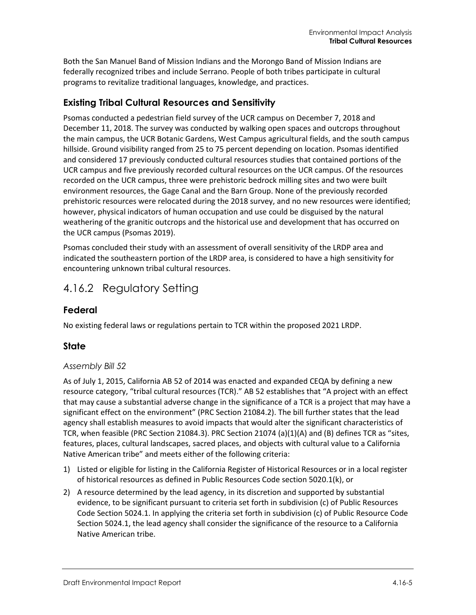Both the San Manuel Band of Mission Indians and the Morongo Band of Mission Indians are federally recognized tribes and include Serrano. People of both tribes participate in cultural programs to revitalize traditional languages, knowledge, and practices.

### **Existing Tribal Cultural Resources and Sensitivity**

Psomas conducted a pedestrian field survey of the UCR campus on December 7, 2018 and December 11, 2018. The survey was conducted by walking open spaces and outcrops throughout the main campus, the UCR Botanic Gardens, West Campus agricultural fields, and the south campus hillside. Ground visibility ranged from 25 to 75 percent depending on location. Psomas identified and considered 17 previously conducted cultural resources studies that contained portions of the UCR campus and five previously recorded cultural resources on the UCR campus. Of the resources recorded on the UCR campus, three were prehistoric bedrock milling sites and two were built environment resources, the Gage Canal and the Barn Group. None of the previously recorded prehistoric resources were relocated during the 2018 survey, and no new resources were identified; however, physical indicators of human occupation and use could be disguised by the natural weathering of the granitic outcrops and the historical use and development that has occurred on the UCR campus (Psomas 2019).

Psomas concluded their study with an assessment of overall sensitivity of the LRDP area and indicated the southeastern portion of the LRDP area, is considered to have a high sensitivity for encountering unknown tribal cultural resources.

# 4.16.2 Regulatory Setting

#### **Federal**

No existing federal laws or regulations pertain to TCR within the proposed 2021 LRDP.

#### **State**

#### *Assembly Bill 52*

As of July 1, 2015, California AB 52 of 2014 was enacted and expanded CEQA by defining a new resource category, "tribal cultural resources (TCR)." AB 52 establishes that "A project with an effect that may cause a substantial adverse change in the significance of a TCR is a project that may have a significant effect on the environment" (PRC Section 21084.2). The bill further states that the lead agency shall establish measures to avoid impacts that would alter the significant characteristics of TCR, when feasible (PRC Section 21084.3). PRC Section 21074 (a)(1)(A) and (B) defines TCR as "sites, features, places, cultural landscapes, sacred places, and objects with cultural value to a California Native American tribe" and meets either of the following criteria:

- 1) Listed or eligible for listing in the California Register of Historical Resources or in a local register of historical resources as defined in Public Resources Code section 5020.1(k), or
- 2) A resource determined by the lead agency, in its discretion and supported by substantial evidence, to be significant pursuant to criteria set forth in subdivision (c) of Public Resources Code Section 5024.1. In applying the criteria set forth in subdivision (c) of Public Resource Code Section 5024.1, the lead agency shall consider the significance of the resource to a California Native American tribe.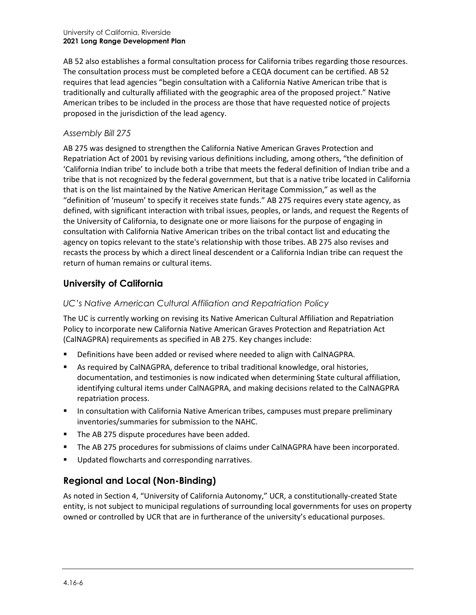AB 52 also establishes a formal consultation process for California tribes regarding those resources. The consultation process must be completed before a CEQA document can be certified. AB 52 requires that lead agencies "begin consultation with a California Native American tribe that is traditionally and culturally affiliated with the geographic area of the proposed project." Native American tribes to be included in the process are those that have requested notice of projects proposed in the jurisdiction of the lead agency.

#### *Assembly Bill 275*

AB 275 was designed to strengthen the California Native American Graves Protection and Repatriation Act of 2001 by revising various definitions including, among others, "the definition of 'California Indian tribe' to include both a tribe that meets the federal definition of Indian tribe and a tribe that is not recognized by the federal government, but that is a native tribe located in California that is on the list maintained by the Native American Heritage Commission," as well as the "definition of 'museum' to specify it receives state funds." AB 275 requires every state agency, as defined, with significant interaction with tribal issues, peoples, or lands, and request the Regents of the University of California, to designate one or more liaisons for the purpose of engaging in consultation with California Native American tribes on the tribal contact list and educating the agency on topics relevant to the state's relationship with those tribes. AB 275 also revises and recasts the process by which a direct lineal descendent or a California Indian tribe can request the return of human remains or cultural items.

# **University of California**

#### *UC's Native American Cultural Affiliation and Repatriation Policy*

The UC is currently working on revising its Native American Cultural Affiliation and Repatriation Policy to incorporate new California Native American Graves Protection and Repatriation Act (CalNAGPRA) requirements as specified in AB 275. Key changes include:

- Definitions have been added or revised where needed to align with CalNAGPRA.
- As required by CalNAGPRA, deference to tribal traditional knowledge, oral histories, documentation, and testimonies is now indicated when determining State cultural affiliation, identifying cultural items under CalNAGPRA, and making decisions related to the CalNAGPRA repatriation process.
- **IDED** In consultation with California Native American tribes, campuses must prepare preliminary inventories/summaries for submission to the NAHC.
- **The AB 275 dispute procedures have been added.**
- **The AB 275 procedures for submissions of claims under CalNAGPRA have been incorporated.**
- **Updated flowcharts and corresponding narratives.**

# **Regional and Local (Non-Binding)**

As noted in Section 4, "University of California Autonomy," UCR, a constitutionally-created State entity, is not subject to municipal regulations of surrounding local governments for uses on property owned or controlled by UCR that are in furtherance of the university's educational purposes.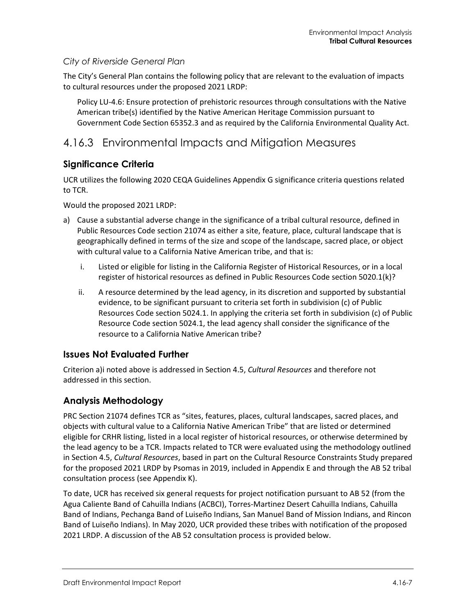#### *City of Riverside General Plan*

The City's General Plan contains the following policy that are relevant to the evaluation of impacts to cultural resources under the proposed 2021 LRDP:

Policy LU-4.6: Ensure protection of prehistoric resources through consultations with the Native American tribe(s) identified by the Native American Heritage Commission pursuant to Government Code Section 65352.3 and as required by the California Environmental Quality Act.

# 4.16.3 Environmental Impacts and Mitigation Measures

#### **Significance Criteria**

UCR utilizes the following 2020 CEQA Guidelines Appendix G significance criteria questions related to TCR.

Would the proposed 2021 LRDP:

- a) Cause a substantial adverse change in the significance of a tribal cultural resource, defined in Public Resources Code section 21074 as either a site, feature, place, cultural landscape that is geographically defined in terms of the size and scope of the landscape, sacred place, or object with cultural value to a California Native American tribe, and that is:
	- i. Listed or eligible for listing in the California Register of Historical Resources, or in a local register of historical resources as defined in Public Resources Code section 5020.1(k)?
	- ii. A resource determined by the lead agency, in its discretion and supported by substantial evidence, to be significant pursuant to criteria set forth in subdivision (c) of Public Resources Code section 5024.1. In applying the criteria set forth in subdivision (c) of Public Resource Code section 5024.1, the lead agency shall consider the significance of the resource to a California Native American tribe?

#### **Issues Not Evaluated Further**

Criterion a)i noted above is addressed in Section 4.5, *Cultural Resources* and therefore not addressed in this section.

#### **Analysis Methodology**

PRC Section 21074 defines TCR as "sites, features, places, cultural landscapes, sacred places, and objects with cultural value to a California Native American Tribe" that are listed or determined eligible for CRHR listing, listed in a local register of historical resources, or otherwise determined by the lead agency to be a TCR. Impacts related to TCR were evaluated using the methodology outlined in Section 4.5, *Cultural Resources*, based in part on the Cultural Resource Constraints Study prepared for the proposed 2021 LRDP by Psomas in 2019, included in Appendix E and through the AB 52 tribal consultation process (see Appendix K).

To date, UCR has received six general requests for project notification pursuant to AB 52 (from the Agua Caliente Band of Cahuilla Indians (ACBCI), Torres-Martinez Desert Cahuilla Indians, Cahuilla Band of Indians, Pechanga Band of Luiseño Indians, San Manuel Band of Mission Indians, and Rincon Band of Luiseño Indians). In May 2020, UCR provided these tribes with notification of the proposed 2021 LRDP. A discussion of the AB 52 consultation process is provided below.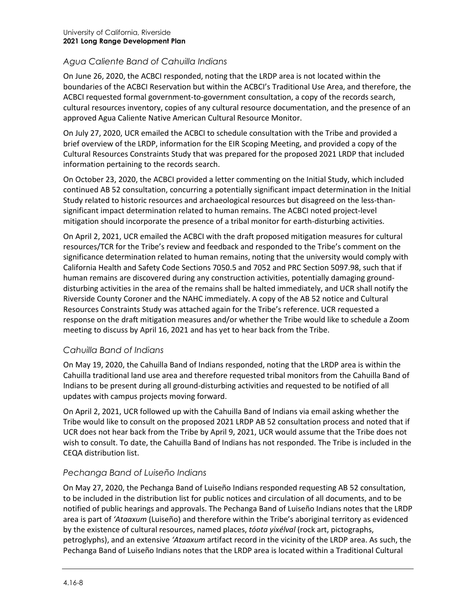#### *Agua Caliente Band of Cahuilla Indians*

On June 26, 2020, the ACBCI responded, noting that the LRDP area is not located within the boundaries of the ACBCI Reservation but within the ACBCI's Traditional Use Area, and therefore, the ACBCI requested formal government-to-government consultation, a copy of the records search, cultural resources inventory, copies of any cultural resource documentation, and the presence of an approved Agua Caliente Native American Cultural Resource Monitor.

On July 27, 2020, UCR emailed the ACBCI to schedule consultation with the Tribe and provided a brief overview of the LRDP, information for the EIR Scoping Meeting, and provided a copy of the Cultural Resources Constraints Study that was prepared for the proposed 2021 LRDP that included information pertaining to the records search.

On October 23, 2020, the ACBCI provided a letter commenting on the Initial Study, which included continued AB 52 consultation, concurring a potentially significant impact determination in the Initial Study related to historic resources and archaeological resources but disagreed on the less-thansignificant impact determination related to human remains. The ACBCI noted project-level mitigation should incorporate the presence of a tribal monitor for earth-disturbing activities.

On April 2, 2021, UCR emailed the ACBCI with the draft proposed mitigation measures for cultural resources/TCR for the Tribe's review and feedback and responded to the Tribe's comment on the significance determination related to human remains, noting that the university would comply with California Health and Safety Code Sections 7050.5 and 7052 and PRC Section 5097.98, such that if human remains are discovered during any construction activities, potentially damaging grounddisturbing activities in the area of the remains shall be halted immediately, and UCR shall notify the Riverside County Coroner and the NAHC immediately. A copy of the AB 52 notice and Cultural Resources Constraints Study was attached again for the Tribe's reference. UCR requested a response on the draft mitigation measures and/or whether the Tribe would like to schedule a Zoom meeting to discuss by April 16, 2021 and has yet to hear back from the Tribe.

#### *Cahuilla Band of Indians*

On May 19, 2020, the Cahuilla Band of Indians responded, noting that the LRDP area is within the Cahuilla traditional land use area and therefore requested tribal monitors from the Cahuilla Band of Indians to be present during all ground-disturbing activities and requested to be notified of all updates with campus projects moving forward.

On April 2, 2021, UCR followed up with the Cahuilla Band of Indians via email asking whether the Tribe would like to consult on the proposed 2021 LRDP AB 52 consultation process and noted that if UCR does not hear back from the Tribe by April 9, 2021, UCR would assume that the Tribe does not wish to consult. To date, the Cahuilla Band of Indians has not responded. The Tribe is included in the CEQA distribution list.

#### *Pechanga Band of Luiseño Indians*

On May 27, 2020, the Pechanga Band of Luiseño Indians responded requesting AB 52 consultation, to be included in the distribution list for public notices and circulation of all documents, and to be notified of public hearings and approvals. The Pechanga Band of Luiseño Indians notes that the LRDP area is part of *'Ataaxum* (Luiseño) and therefore within the Tribe's aboriginal territory as evidenced by the existence of cultural resources, named places, *tóota yixélval* (rock art, pictographs, petroglyphs), and an extensive *'Ataaxum* artifact record in the vicinity of the LRDP area. As such, the Pechanga Band of Luiseño Indians notes that the LRDP area is located within a Traditional Cultural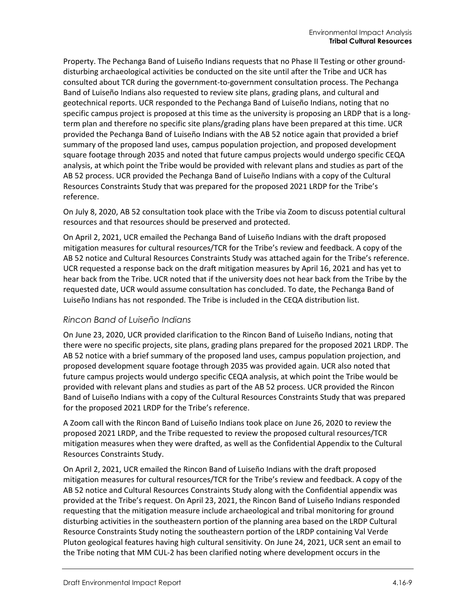Property. The Pechanga Band of Luiseño Indians requests that no Phase II Testing or other grounddisturbing archaeological activities be conducted on the site until after the Tribe and UCR has consulted about TCR during the government-to-government consultation process. The Pechanga Band of Luiseño Indians also requested to review site plans, grading plans, and cultural and geotechnical reports. UCR responded to the Pechanga Band of Luiseño Indians, noting that no specific campus project is proposed at this time as the university is proposing an LRDP that is a longterm plan and therefore no specific site plans/grading plans have been prepared at this time. UCR provided the Pechanga Band of Luiseño Indians with the AB 52 notice again that provided a brief summary of the proposed land uses, campus population projection, and proposed development square footage through 2035 and noted that future campus projects would undergo specific CEQA analysis, at which point the Tribe would be provided with relevant plans and studies as part of the AB 52 process. UCR provided the Pechanga Band of Luiseño Indians with a copy of the Cultural Resources Constraints Study that was prepared for the proposed 2021 LRDP for the Tribe's reference.

On July 8, 2020, AB 52 consultation took place with the Tribe via Zoom to discuss potential cultural resources and that resources should be preserved and protected.

On April 2, 2021, UCR emailed the Pechanga Band of Luiseño Indians with the draft proposed mitigation measures for cultural resources/TCR for the Tribe's review and feedback. A copy of the AB 52 notice and Cultural Resources Constraints Study was attached again for the Tribe's reference. UCR requested a response back on the draft mitigation measures by April 16, 2021 and has yet to hear back from the Tribe. UCR noted that if the university does not hear back from the Tribe by the requested date, UCR would assume consultation has concluded. To date, the Pechanga Band of Luiseño Indians has not responded. The Tribe is included in the CEQA distribution list.

#### *Rincon Band of Luiseño Indians*

On June 23, 2020, UCR provided clarification to the Rincon Band of Luiseño Indians, noting that there were no specific projects, site plans, grading plans prepared for the proposed 2021 LRDP. The AB 52 notice with a brief summary of the proposed land uses, campus population projection, and proposed development square footage through 2035 was provided again. UCR also noted that future campus projects would undergo specific CEQA analysis, at which point the Tribe would be provided with relevant plans and studies as part of the AB 52 process. UCR provided the Rincon Band of Luiseño Indians with a copy of the Cultural Resources Constraints Study that was prepared for the proposed 2021 LRDP for the Tribe's reference.

A Zoom call with the Rincon Band of Luiseño Indians took place on June 26, 2020 to review the proposed 2021 LRDP, and the Tribe requested to review the proposed cultural resources/TCR mitigation measures when they were drafted, as well as the Confidential Appendix to the Cultural Resources Constraints Study.

On April 2, 2021, UCR emailed the Rincon Band of Luiseño Indians with the draft proposed mitigation measures for cultural resources/TCR for the Tribe's review and feedback. A copy of the AB 52 notice and Cultural Resources Constraints Study along with the Confidential appendix was provided at the Tribe's request. On April 23, 2021, the Rincon Band of Luiseño Indians responded requesting that the mitigation measure include archaeological and tribal monitoring for ground disturbing activities in the southeastern portion of the planning area based on the LRDP Cultural Resource Constraints Study noting the southeastern portion of the LRDP containing Val Verde Pluton geological features having high cultural sensitivity. On June 24, 2021, UCR sent an email to the Tribe noting that MM CUL-2 has been clarified noting where development occurs in the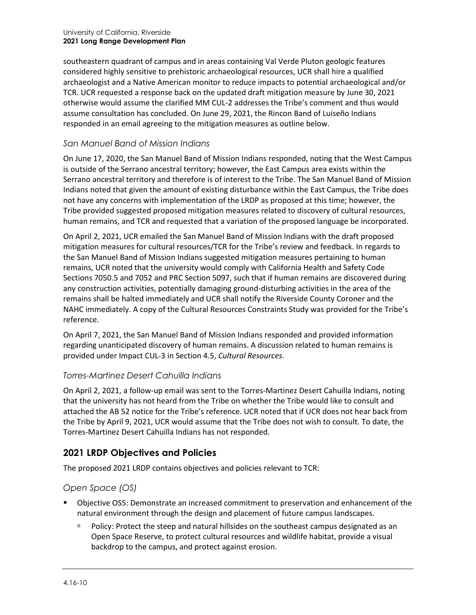southeastern quadrant of campus and in areas containing Val Verde Pluton geologic features considered highly sensitive to prehistoric archaeological resources, UCR shall hire a qualified archaeologist and a Native American monitor to reduce impacts to potential archaeological and/or TCR. UCR requested a response back on the updated draft mitigation measure by June 30, 2021 otherwise would assume the clarified MM CUL-2 addresses the Tribe's comment and thus would assume consultation has concluded. On June 29, 2021, the Rincon Band of Luiseño Indians responded in an email agreeing to the mitigation measures as outline below.

#### *San Manuel Band of Mission Indians*

On June 17, 2020, the San Manuel Band of Mission Indians responded, noting that the West Campus is outside of the Serrano ancestral territory; however, the East Campus area exists within the Serrano ancestral territory and therefore is of interest to the Tribe. The San Manuel Band of Mission Indians noted that given the amount of existing disturbance within the East Campus, the Tribe does not have any concerns with implementation of the LRDP as proposed at this time; however, the Tribe provided suggested proposed mitigation measures related to discovery of cultural resources, human remains, and TCR and requested that a variation of the proposed language be incorporated.

On April 2, 2021, UCR emailed the San Manuel Band of Mission Indians with the draft proposed mitigation measures for cultural resources/TCR for the Tribe's review and feedback. In regards to the San Manuel Band of Mission Indians suggested mitigation measures pertaining to human remains, UCR noted that the university would comply with California Health and Safety Code Sections 7050.5 and 7052 and PRC Section 5097, such that if human remains are discovered during any construction activities, potentially damaging ground-disturbing activities in the area of the remains shall be halted immediately and UCR shall notify the Riverside County Coroner and the NAHC immediately. A copy of the Cultural Resources Constraints Study was provided for the Tribe's reference.

On April 7, 2021, the San Manuel Band of Mission Indians responded and provided information regarding unanticipated discovery of human remains. A discussion related to human remains is provided under Impact CUL-3 in Section 4.5, *Cultural Resources*.

#### *Torres-Martinez Desert Cahuilla Indians*

On April 2, 2021, a follow-up email was sent to the Torres-Martinez Desert Cahuilla Indians, noting that the university has not heard from the Tribe on whether the Tribe would like to consult and attached the AB 52 notice for the Tribe's reference. UCR noted that if UCR does not hear back from the Tribe by April 9, 2021, UCR would assume that the Tribe does not wish to consult. To date, the Torres-Martinez Desert Cahuilla Indians has not responded.

# **2021 LRDP Objectives and Policies**

The proposed 2021 LRDP contains objectives and policies relevant to TCR:

#### *Open Space (OS)*

- Objective OS5: Demonstrate an increased commitment to preservation and enhancement of the natural environment through the design and placement of future campus landscapes.
	- Policy: Protect the steep and natural hillsides on the southeast campus designated as an Open Space Reserve, to protect cultural resources and wildlife habitat, provide a visual backdrop to the campus, and protect against erosion.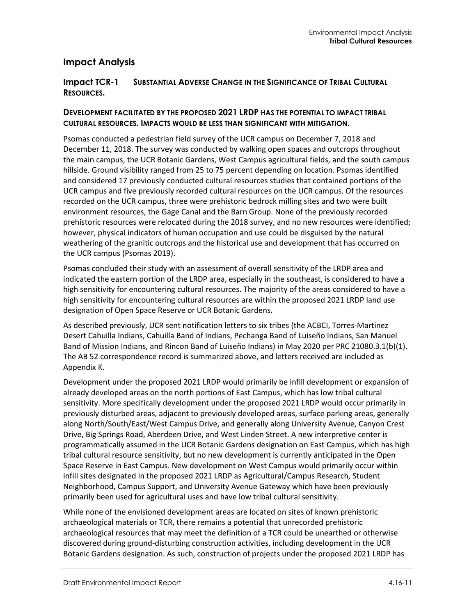#### **Impact Analysis**

#### **Impact TCR-1 SUBSTANTIAL ADVERSE CHANGE IN THE SIGNIFICANCE OF TRIBAL CULTURAL RESOURCES.**

#### **DEVELOPMENT FACILITATED BY THE PROPOSED 2021 LRDP HAS THE POTENTIAL TO IMPACT TRIBAL CULTURAL RESOURCES. IMPACTS WOULD BE LESS THAN SIGNIFICANT WITH MITIGATION.**

Psomas conducted a pedestrian field survey of the UCR campus on December 7, 2018 and December 11, 2018. The survey was conducted by walking open spaces and outcrops throughout the main campus, the UCR Botanic Gardens, West Campus agricultural fields, and the south campus hillside. Ground visibility ranged from 25 to 75 percent depending on location. Psomas identified and considered 17 previously conducted cultural resources studies that contained portions of the UCR campus and five previously recorded cultural resources on the UCR campus. Of the resources recorded on the UCR campus, three were prehistoric bedrock milling sites and two were built environment resources, the Gage Canal and the Barn Group. None of the previously recorded prehistoric resources were relocated during the 2018 survey, and no new resources were identified; however, physical indicators of human occupation and use could be disguised by the natural weathering of the granitic outcrops and the historical use and development that has occurred on the UCR campus (Psomas 2019).

Psomas concluded their study with an assessment of overall sensitivity of the LRDP area and indicated the eastern portion of the LRDP area, especially in the southeast, is considered to have a high sensitivity for encountering cultural resources. The majority of the areas considered to have a high sensitivity for encountering cultural resources are within the proposed 2021 LRDP land use designation of Open Space Reserve or UCR Botanic Gardens.

As described previously, UCR sent notification letters to six tribes (the ACBCI, Torres-Martinez Desert Cahuilla Indians, Cahuilla Band of Indians, Pechanga Band of Luiseño Indians, San Manuel Band of Mission Indians, and Rincon Band of Luiseño Indians) in May 2020 per PRC 21080.3.1(b)(1). The AB 52 correspondence record is summarized above, and letters received are included as Appendix K.

Development under the proposed 2021 LRDP would primarily be infill development or expansion of already developed areas on the north portions of East Campus, which has low tribal cultural sensitivity. More specifically development under the proposed 2021 LRDP would occur primarily in previously disturbed areas, adjacent to previously developed areas, surface parking areas, generally along North/South/East/West Campus Drive, and generally along University Avenue, Canyon Crest Drive, Big Springs Road, Aberdeen Drive, and West Linden Street. A new interpretive center is programmatically assumed in the UCR Botanic Gardens designation on East Campus, which has high tribal cultural resource sensitivity, but no new development is currently anticipated in the Open Space Reserve in East Campus. New development on West Campus would primarily occur within infill sites designated in the proposed 2021 LRDP as Agricultural/Campus Research, Student Neighborhood, Campus Support, and University Avenue Gateway which have been previously primarily been used for agricultural uses and have low tribal cultural sensitivity.

While none of the envisioned development areas are located on sites of known prehistoric archaeological materials or TCR, there remains a potential that unrecorded prehistoric archaeological resources that may meet the definition of a TCR could be unearthed or otherwise discovered during ground-disturbing construction activities, including development in the UCR Botanic Gardens designation. As such, construction of projects under the proposed 2021 LRDP has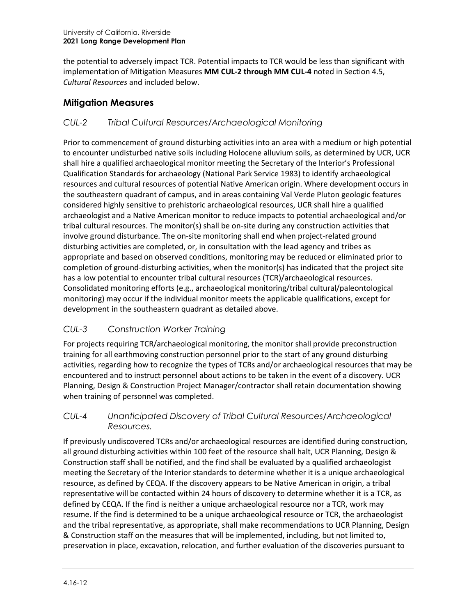the potential to adversely impact TCR. Potential impacts to TCR would be less than significant with implementation of Mitigation Measures **MM CUL-2 through MM CUL-4** noted in Section 4.5, *Cultural Resources* and included below.

# **Mitigation Measures**

### *CUL-2 Tribal Cultural Resources/Archaeological Monitoring*

Prior to commencement of ground disturbing activities into an area with a medium or high potential to encounter undisturbed native soils including Holocene alluvium soils, as determined by UCR, UCR shall hire a qualified archaeological monitor meeting the Secretary of the Interior's Professional Qualification Standards for archaeology (National Park Service 1983) to identify archaeological resources and cultural resources of potential Native American origin. Where development occurs in the southeastern quadrant of campus, and in areas containing Val Verde Pluton geologic features considered highly sensitive to prehistoric archaeological resources, UCR shall hire a qualified archaeologist and a Native American monitor to reduce impacts to potential archaeological and/or tribal cultural resources. The monitor(s) shall be on-site during any construction activities that involve ground disturbance. The on-site monitoring shall end when project-related ground disturbing activities are completed, or, in consultation with the lead agency and tribes as appropriate and based on observed conditions, monitoring may be reduced or eliminated prior to completion of ground-disturbing activities, when the monitor(s) has indicated that the project site has a low potential to encounter tribal cultural resources (TCR)/archaeological resources. Consolidated monitoring efforts (e.g., archaeological monitoring/tribal cultural/paleontological monitoring) may occur if the individual monitor meets the applicable qualifications, except for development in the southeastern quadrant as detailed above.

# *CUL-3 Construction Worker Training*

For projects requiring TCR/archaeological monitoring, the monitor shall provide preconstruction training for all earthmoving construction personnel prior to the start of any ground disturbing activities, regarding how to recognize the types of TCRs and/or archaeological resources that may be encountered and to instruct personnel about actions to be taken in the event of a discovery. UCR Planning, Design & Construction Project Manager/contractor shall retain documentation showing when training of personnel was completed.

#### *CUL-4 Unanticipated Discovery of Tribal Cultural Resources/Archaeological Resources.*

If previously undiscovered TCRs and/or archaeological resources are identified during construction, all ground disturbing activities within 100 feet of the resource shall halt, UCR Planning, Design & Construction staff shall be notified, and the find shall be evaluated by a qualified archaeologist meeting the Secretary of the Interior standards to determine whether it is a unique archaeological resource, as defined by CEQA. If the discovery appears to be Native American in origin, a tribal representative will be contacted within 24 hours of discovery to determine whether it is a TCR, as defined by CEQA. If the find is neither a unique archaeological resource nor a TCR, work may resume. If the find is determined to be a unique archaeological resource or TCR, the archaeologist and the tribal representative, as appropriate, shall make recommendations to UCR Planning, Design & Construction staff on the measures that will be implemented, including, but not limited to, preservation in place, excavation, relocation, and further evaluation of the discoveries pursuant to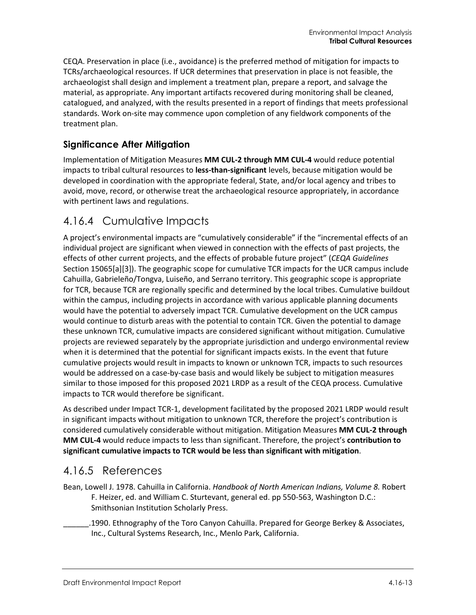CEQA. Preservation in place (i.e., avoidance) is the preferred method of mitigation for impacts to TCRs/archaeological resources. If UCR determines that preservation in place is not feasible, the archaeologist shall design and implement a treatment plan, prepare a report, and salvage the material, as appropriate. Any important artifacts recovered during monitoring shall be cleaned, catalogued, and analyzed, with the results presented in a report of findings that meets professional standards. Work on-site may commence upon completion of any fieldwork components of the treatment plan.

# **Significance After Mitigation**

Implementation of Mitigation Measures **MM CUL-2 through MM CUL-4** would reduce potential impacts to tribal cultural resources to **less-than-significant** levels, because mitigation would be developed in coordination with the appropriate federal, State, and/or local agency and tribes to avoid, move, record, or otherwise treat the archaeological resource appropriately, in accordance with pertinent laws and regulations.

# 4.16.4 Cumulative Impacts

A project's environmental impacts are "cumulatively considerable" if the "incremental effects of an individual project are significant when viewed in connection with the effects of past projects, the effects of other current projects, and the effects of probable future project" (*CEQA Guidelines* Section 15065[a][3]). The geographic scope for cumulative TCR impacts for the UCR campus include Cahuilla, Gabrieleño/Tongva, Luiseño, and Serrano territory. This geographic scope is appropriate for TCR, because TCR are regionally specific and determined by the local tribes. Cumulative buildout within the campus, including projects in accordance with various applicable planning documents would have the potential to adversely impact TCR. Cumulative development on the UCR campus would continue to disturb areas with the potential to contain TCR. Given the potential to damage these unknown TCR, cumulative impacts are considered significant without mitigation. Cumulative projects are reviewed separately by the appropriate jurisdiction and undergo environmental review when it is determined that the potential for significant impacts exists. In the event that future cumulative projects would result in impacts to known or unknown TCR, impacts to such resources would be addressed on a case-by-case basis and would likely be subject to mitigation measures similar to those imposed for this proposed 2021 LRDP as a result of the CEQA process. Cumulative impacts to TCR would therefore be significant.

As described under Impact TCR-1, development facilitated by the proposed 2021 LRDP would result in significant impacts without mitigation to unknown TCR, therefore the project's contribution is considered cumulatively considerable without mitigation. Mitigation Measures **MM CUL-2 through MM CUL-4** would reduce impacts to less than significant. Therefore, the project's **contribution to significant cumulative impacts to TCR would be less than significant with mitigation**.

# 4.16.5 References

- Bean, Lowell J. 1978. Cahuilla in California. *Handbook of North American Indians, Volume 8.* Robert F. Heizer, ed. and William C. Sturtevant, general ed. pp 550-563, Washington D.C.: Smithsonian Institution Scholarly Press.
	- \_\_\_\_\_\_.1990. Ethnography of the Toro Canyon Cahuilla. Prepared for George Berkey & Associates, Inc., Cultural Systems Research, Inc., Menlo Park, California.